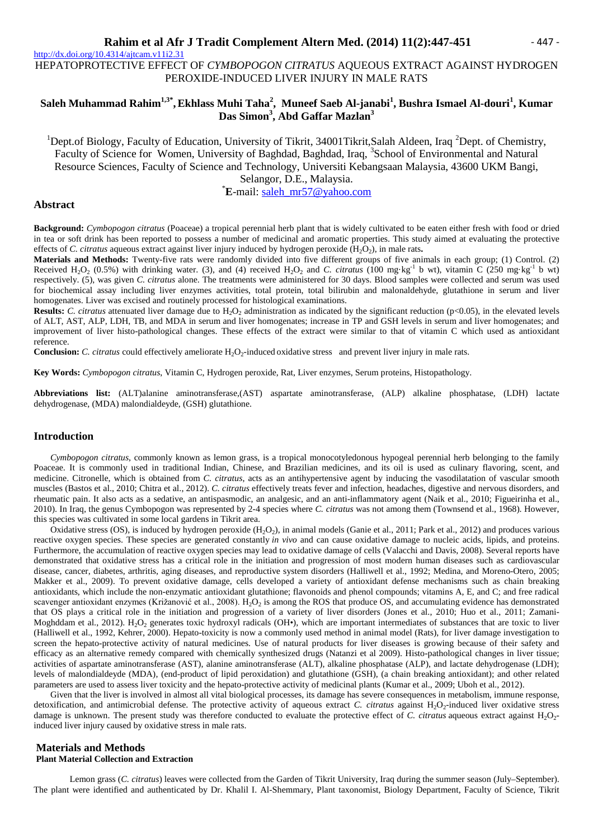$\frac{http://dx.doi.org/10.4314/ajtcam.v11i2.31}{$ HEPATOPROTECTIVE EFFECT OF *CYMBOPOGON CITRATUS* AQUEOUS EXTRACT AGAINST HYDROGEN PEROXIDE-INDUCED LIVER INJURY IN MALE RATS

# **Saleh Muhammad Rahim1,3\* ,Ekhlass Muhi Taha<sup>2</sup> , Muneef Saeb Al-janabi<sup>1</sup> , Bushra Ismael Al-douri<sup>1</sup> , Kumar Das Simon<sup>3</sup> , Abd Gaffar Mazlan<sup>3</sup>**

<sup>1</sup>Dept.of Biology, Faculty of Education, University of Tikrit, 34001Tikrit, Salah Aldeen, Iraq  ${}^{2}$ Dept. of Chemistry, Faculty of Science for Women, University of Baghdad, Baghdad, Iraq, <sup>3</sup>School of Environmental and Natural Resource Sciences, Faculty of Science and Technology, Universiti Kebangsaan Malaysia, 43600 UKM Bangi, Selangor, D.E., Malaysia.

\***E**-mail: saleh\_mr57@yahoo.com

### **Abstract**

**Background:** *Cymbopogon citratus* (Poaceae) a tropical perennial herb plant that is widely cultivated to be eaten either fresh with food or dried in tea or soft drink has been reported to possess a number of medicinal and aromatic properties. This study aimed at evaluating the protective effects of *C. citratus* aqueous extract against liver injury induced by hydrogen peroxide (H<sub>2</sub>O<sub>2</sub>), in male rats.

**Materials and Methods:** Twenty-five rats were randomly divided into five different groups of five animals in each group; (1) Control. (2) Received H<sub>2</sub>O<sub>2</sub> (0.5%) with drinking water. (3), and (4) received H<sub>2</sub>O<sub>2</sub> and *C. citratus* (100 mg·kg<sup>-1</sup> b wt), vitamin *C* (250 mg·kg<sup>-1</sup> b wt) respectively. (5), was given *C. citratus* alone. The treatments were administered for 30 days. Blood samples were collected and serum was used for biochemical assay including liver enzymes activities, total protein, total bilirubin and malonaldehyde, glutathione in serum and liver homogenates. Liver was excised and routinely processed for histological examinations.

**Results:** *C. citratus* attenuated liver damage due to  $H_2O_2$  administration as indicated by the significant reduction (p<0.05), in the elevated levels of ALT, AST, ALP, LDH, TB, and MDA in serum and liver homogenates; increase in TP and GSH levels in serum and liver homogenates; and improvement of liver histo-pathological changes. These effects of the extract were similar to that of vitamin C which used as antioxidant reference.

**Conclusion:** *C. citratus* could effectively ameliorate  $H_2O_2$ -induced oxidative stress and prevent liver injury in male rats.

**Key Words:** *Cymbopogon citratus*, Vitamin C, Hydrogen peroxide, Rat, Liver enzymes, Serum proteins, Histopathology.

**Abbreviations list:** (ALT)alanine aminotransferase,(AST) aspartate aminotransferase, (ALP) alkaline phosphatase, (LDH) lactate dehydrogenase, (MDA) malondialdeyde, (GSH) glutathione.

### **Introduction**

*Cymbopogon citratus*, commonly known as lemon grass, is a tropical monocotyledonous hypogeal perennial herb belonging to the family Poaceae. It is commonly used in traditional Indian, Chinese, and Brazilian medicines, and its oil is used as culinary flavoring, scent, and medicine. Citronelle, which is obtained from *C. citratus*, acts as an antihypertensive agent by inducing the vasodilatation of vascular smooth muscles (Bastos et al., 2010; Chitra et al., 2012). *C. citratus* effectively treats fever and infection, headaches, digestive and nervous disorders, and rheumatic pain. It also acts as a sedative, an antispasmodic, an analgesic, and an anti-inflammatory agent (Naik et al., 2010; Figueirinha et al., 2010). In Iraq, the genus Cymbopogon was represented by 2-4 species where *C. citratus* was not among them (Townsend et al., 1968). However, this species was cultivated in some local gardens in Tikrit area.

Oxidative stress (OS), is induced by hydrogen peroxide  $(H_2O_2)$ , in animal models (Ganie et al., 2011; Park et al., 2012) and produces various reactive oxygen species. These species are generated constantly *in vivo* and can cause oxidative damage to nucleic acids, lipids, and proteins. Furthermore, the accumulation of reactive oxygen species may lead to oxidative damage of cells (Valacchi and Davis, 2008). Several reports have demonstrated that oxidative stress has a critical role in the initiation and progression of most modern human diseases such as cardiovascular disease, cancer, diabetes, arthritis, aging diseases, and reproductive system disorders (Halliwell et al., 1992; Medina, and Moreno-Otero, 2005; Makker et al., 2009). To prevent oxidative damage, cells developed a variety of antioxidant defense mechanisms such as chain breaking antioxidants, which include the non-enzymatic antioxidant glutathione; flavonoids and phenol compounds; vitamins A, E, and C; and free radical scavenger antioxidant enzymes (Križanović et al., 2008).  $H_2O_2$  is among the ROS that produce OS, and accumulating evidence has demonstrated that OS plays a critical role in the initiation and progression of a variety of liver disorders (Jones et al., 2010; Huo et al., 2011; Zamani-Moghddam et al., 2012). H<sub>2</sub>O<sub>2</sub> generates toxic hydroxyl radicals (OH•), which are important intermediates of substances that are toxic to liver (Halliwell et al., 1992, Kehrer, 2000). Hepato-toxicity is now a commonly used method in animal model (Rats), for liver damage investigation to screen the hepato-protective activity of natural medicines. Use of natural products for liver diseases is growing because of their safety and efficacy as an alternative remedy compared with chemically synthesized drugs (Natanzi et al 2009). Histo-pathological changes in liver tissue; activities of aspartate aminotransferase (AST), alanine aminotransferase (ALT), alkaline phosphatase (ALP), and lactate dehydrogenase (LDH); levels of malondialdeyde (MDA), (end-product of lipid peroxidation) and glutathione (GSH), (a chain breaking antioxidant); and other related parameters are used to assess liver toxicity and the hepato-protective activity of medicinal plants (Kumar et al., 2009; Uboh et al., 2012).

Given that the liver is involved in almost all vital biological processes, its damage has severe consequences in metabolism, immune response, detoxification, and antimicrobial defense. The protective activity of aqueous extract *C. citratus* against H<sub>2</sub>O<sub>2</sub>-induced liver oxidative stress damage is unknown. The present study was therefore conducted to evaluate the protective effect of *C. citratus* aqueous extract against H<sub>2</sub>O<sub>2</sub>induced liver injury caused by oxidative stress in male rats.

# **Materials and Methods**

**Plant Material Collection and Extraction**

Lemon grass (*C. citratus*) leaves were collected from the Garden of Tikrit University, Iraq during the summer season (July–September). The plant were identified and authenticated by Dr. Khalil I. Al-Shemmary, Plant taxonomist, Biology Department, Faculty of Science, Tikrit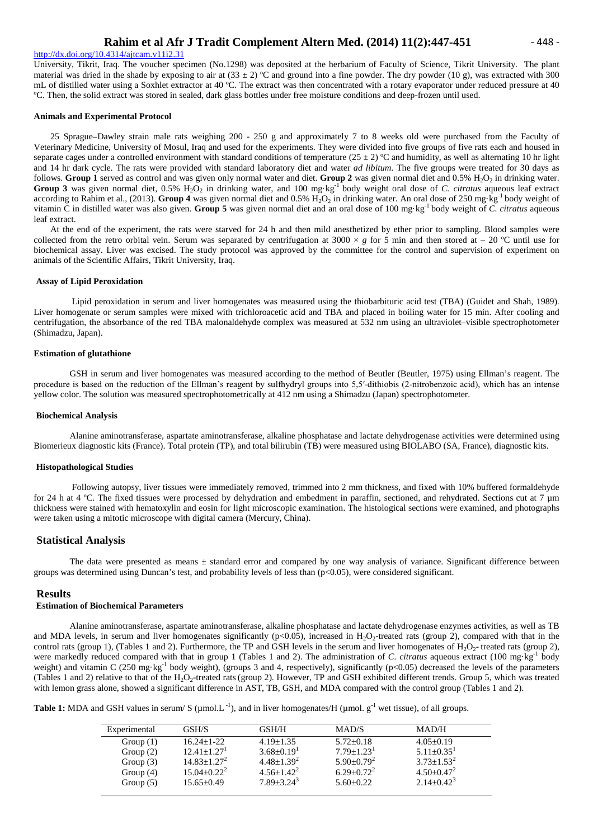### http://dx.doi.org/10.4314/ajtcam.v11i2.31

University, Tikrit, Iraq. The voucher specimen (No.1298) was deposited at the herbarium of Faculty of Science, Tikrit University. The plant material was dried in the shade by exposing to air at  $(33 \pm 2)$  °C and ground into a fine powder. The dry powder (10 g), was extracted with 300 mL of distilled water using a Soxhlet extractor at 40 ºC. The extract was then concentrated with a rotary evaporator under reduced pressure at 40 ºC. Then, the solid extract was stored in sealed, dark glass bottles under free moisture conditions and deep-frozen until used.

#### **Animals and Experimental Protocol**

25 Sprague–Dawley strain male rats weighing 200 - 250 g and approximately 7 to 8 weeks old were purchased from the Faculty of Veterinary Medicine, University of Mosul, Iraq and used for the experiments. They were divided into five groups of five rats each and housed in separate cages under a controlled environment with standard conditions of temperature ( $25 \pm 2$ ) °C and humidity, as well as alternating 10 hr light and 14 hr dark cycle. The rats were provided with standard laboratory diet and water *ad libitum*. The five groups were treated for 30 days as follows. Group 1 served as control and was given only normal water and diet. Group 2 was given normal diet and 0.5% H<sub>2</sub>O<sub>2</sub> in drinking water. Group 3 was given normal diet, 0.5% H<sub>2</sub>O<sub>2</sub> in drinking water, and 100 mg·kg<sup>-1</sup> body weight oral dose of *C. citratus* aqueous leaf extract according to Rahim et al., (2013). Group 4 was given normal diet and 0.5% H<sub>2</sub>O<sub>2</sub> in drinking water. An oral dose of 250 mg·kg<sup>-1</sup> body weight of vitamin C in distilled water was also given. **Group 5** was given normal diet and an oral dose of 100 mg·kg-1 body weight of *C. citratus* aqueous leaf extract.

At the end of the experiment, the rats were starved for 24 h and then mild anesthetized by ether prior to sampling. Blood samples were collected from the retro orbital vein. Serum was separated by centrifugation at 3000  $\times g$  for 5 min and then stored at – 20 °C until use for biochemical assay. Liver was excised. The study protocol was approved by the committee for the control and supervision of experiment on animals of the Scientific Affairs, Tikrit University, Iraq.

#### **Assay of Lipid Peroxidation**

Lipid peroxidation in serum and liver homogenates was measured using the thiobarbituric acid test (TBA) (Guidet and Shah, 1989). Liver homogenate or serum samples were mixed with trichloroacetic acid and TBA and placed in boiling water for 15 min. After cooling and centrifugation, the absorbance of the red TBA malonaldehyde complex was measured at 532 nm using an ultraviolet–visible spectrophotometer (Shimadzu, Japan).

### **Estimation of glutathione**

GSH in serum and liver homogenates was measured according to the method of Beutler (Beutler, 1975) using Ellman's reagent. The procedure is based on the reduction of the Ellman's reagent by sulfhydryl groups into 5,5′-dithiobis (2-nitrobenzoic acid), which has an intense yellow color. The solution was measured spectrophotometrically at 412 nm using a Shimadzu (Japan) spectrophotometer.

#### **Biochemical Analysis**

Alanine aminotransferase, aspartate aminotransferase, alkaline phosphatase and lactate dehydrogenase activities were determined using Biomerieux diagnostic kits (France). Total protein (TP), and total bilirubin (TB) were measured using BIOLABO (SA, France), diagnostic kits.

#### **Histopathological Studies**

Following autopsy, liver tissues were immediately removed, trimmed into 2 mm thickness, and fixed with 10% buffered formaldehyde for 24 h at 4 °C. The fixed tissues were processed by dehydration and embedment in paraffin, sectioned, and rehydrated. Sections cut at 7 um thickness were stained with hematoxylin and eosin for light microscopic examination. The histological sections were examined, and photographs were taken using a mitotic microscope with digital camera (Mercury, China).

### **Statistical Analysis**

The data were presented as means  $\pm$  standard error and compared by one way analysis of variance. Significant difference between groups was determined using Duncan's test, and probability levels of less than (p<0.05), were considered significant.

#### **Results**

### **Estimation of Biochemical Parameters**

Alanine aminotransferase, aspartate aminotransferase, alkaline phosphatase and lactate dehydrogenase enzymes activities, as well as TB and MDA levels, in serum and liver homogenates significantly  $(p<0.05)$ , increased in H<sub>2</sub>O<sub>2</sub>-treated rats (group 2), compared with that in the control rats (group 1), (Tables 1 and 2). Furthermore, the TP and GSH levels in the serum and liver homogenates of  $H_2O_2$ - treated rats (group 2), were markedly reduced compared with that in group 1 (Tables 1 and 2). The administration of *C. citratus* aqueous extract (100 mg·kg<sup>-1</sup> body weight) and vitamin C (250 mg·kg<sup>-1</sup> body weight), (groups 3 and 4, respectively), significantly (p<0.05) decreased the levels of the parameters (Tables 1 and 2) relative to that of the  $H_2O_2$ -treated rats (group 2). However, TP and GSH exhibited different trends. Group 5, which was treated with lemon grass alone, showed a significant difference in AST, TB, GSH, and MDA compared with the control group (Tables 1 and 2).

**Table 1:** MDA and GSH values in serum/ S ( $\mu$ mol.L<sup>-1</sup>), and in liver homogenates/H ( $\mu$ mol. g<sup>-1</sup> wet tissue), of all groups.

| Experimental | GSH/S                       | GSH/H                        | MAD/S                        | MAD/H             |
|--------------|-----------------------------|------------------------------|------------------------------|-------------------|
| Group $(1)$  | $16.24 + 1 - 22$            | $4.19 + 1.35$                | $5.72+0.18$                  | $4.05+0.19$       |
| Group $(2)$  | $12.41 + 1.27$ <sup>1</sup> | $3.68 \pm 0.19$ <sup>1</sup> | $7.79 \pm 1.23$ <sup>1</sup> | $5.11 + 0.35^1$   |
| Group $(3)$  | $14.83 + 1.27^2$            | $4.48+1.39^2$                | $5.90+0.79^2$                | $3.73 + 1.53^2$   |
| Group $(4)$  | $15.04 + 0.22^2$            | $4.56 \pm 1.42$ <sup>2</sup> | $6.29 \pm 0.72^2$            | $4.50 \pm 0.47^2$ |
| Group $(5)$  | $15.65+0.49$                | $7.89 + 3.24^3$              | $5.60+0.22$                  | $2.14+0.42^3$     |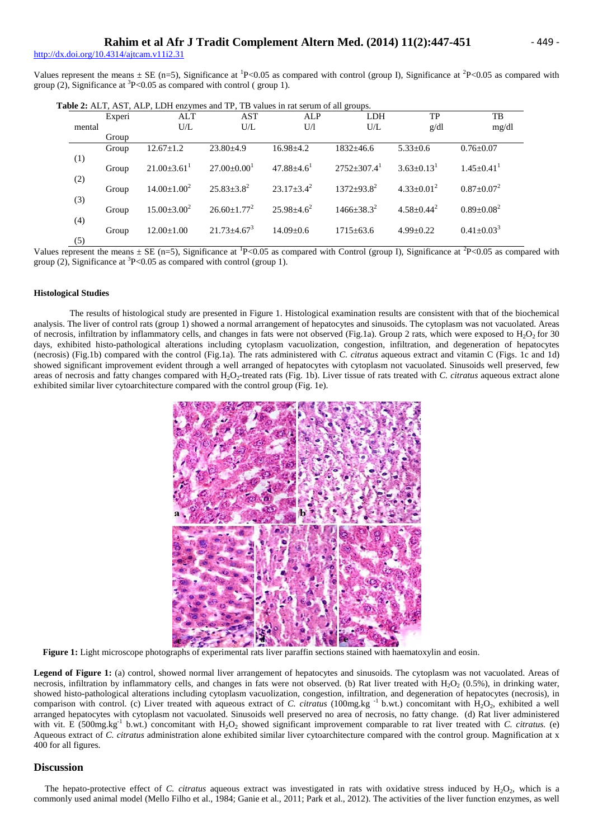http://dx.doi.org/10.4314/aitcam.v11i2.31

Values represent the means  $\pm$  SE (n=5), Significance at <sup>1</sup>P<0.05 as compared with control (group I), Significance at <sup>2</sup>P<0.05 as compared with group (2), Significance at  ${}^{3}P<0.05$  as compared with control (group 1).

**Table 2:** ALT, AST, ALP, LDH enzymes and TP, TB values in rat serum of all groups.

|            | Experi | ALT                | <b>AST</b>         | ALP                          | $\circ$<br><b>LDH</b>     | TP                | TB                |
|------------|--------|--------------------|--------------------|------------------------------|---------------------------|-------------------|-------------------|
| mental     |        | U/L                | U/L                | U/l                          | U/L                       | g/dl              | mg/dl             |
|            | Group  |                    |                    |                              |                           |                   |                   |
|            | Group  | $12.67 \pm 1.2$    | $23.80\pm4.9$      | $16.98 \pm 4.2$              | $1832 \pm 46.6$           | $5.33 \pm 0.6$    | $0.76 \pm 0.07$   |
| (1)<br>(2) | Group  | $21.00\pm3.61$     | $27.00 \pm 0.00^1$ | $47.88 \pm 4.6$ <sup>1</sup> | $2752+307.4$ <sup>1</sup> | $3.63 \pm 0.13^1$ | $1.45 \pm 0.41$   |
| (3)        | Group  | $14.00 \pm 1.00^2$ | $25.83 \pm 3.8^2$  | $23.17 \pm 3.4^2$            | $1372 + 93.8^2$           | $4.33 \pm 0.01^2$ | $0.87 + 0.07^2$   |
| (4)        | Group  | $15.00 \pm 3.00^2$ | $26.60 \pm 1.77^2$ | $25.98 \pm 4.6^2$            | $1466 + 38.3^2$           | $4.58 \pm 0.44^2$ | $0.89 \pm 0.08^2$ |
| (5)        | Group  | $12.00 \pm 1.00$   | $21.73 \pm 4.67^3$ | $14.09 \pm 0.6$              | $1715 \pm 63.6$           | $4.99 \pm 0.22$   | $0.41 \pm 0.03^3$ |

Values represent the means  $\pm$  SE (n=5), Significance at <sup>1</sup>P<0.05 as compared with Control (group I), Significance at <sup>2</sup>P<0.05 as compared with group (2), Significance at  ${}^{3}P<0.05$  as compared with control (group 1).

### **Histological Studies**

The results of histological study are presented in Figure 1. Histological examination results are consistent with that of the biochemical analysis. The liver of control rats (group 1) showed a normal arrangement of hepatocytes and sinusoids. The cytoplasm was not vacuolated. Areas of necrosis, infiltration by inflammatory cells, and changes in fats were not observed (Fig.1a). Group 2 rats, which were exposed to  $H_2O_2$  for 30 days, exhibited histo-pathological alterations including cytoplasm vacuolization, congestion, infiltration, and degeneration of hepatocytes (necrosis) (Fig.1b) compared with the control (Fig.1a). The rats administered with *C. citratus* aqueous extract and vitamin C (Figs. 1c and 1d) showed significant improvement evident through a well arranged of hepatocytes with cytoplasm not vacuolated. Sinusoids well preserved, few areas of necrosis and fatty changes compared with H<sub>2</sub>O<sub>2</sub>-treated rats (Fig. 1b). Liver tissue of rats treated with *C. citratus* aqueous extract alone exhibited similar liver cytoarchitecture compared with the control group (Fig. 1e).



**Figure 1:** Light microscope photographs of experimental rats liver paraffin sections stained with haematoxylin and eosin.

**Legend of Figure 1:** (a) control, showed normal liver arrangement of hepatocytes and sinusoids. The cytoplasm was not vacuolated. Areas of necrosis, infiltration by inflammatory cells, and changes in fats were not observed. (b) Rat liver treated with  $H_2O_2$  (0.5%), in drinking water, showed histo-pathological alterations including cytoplasm vacuolization, congestion, infiltration, and degeneration of hepatocytes (necrosis), in comparison with control. (c) Liver treated with aqueous extract of *C. citratus* (100mg.kg<sup>-1</sup> b.wt.) concomitant with  $H_2O_2$ , exhibited a well arranged hepatocytes with cytoplasm not vacuolated. Sinusoids well preserved no area of necrosis, no fatty change. (d) Rat liver administered with vit. E (500mg.kg<sup>-1</sup> b.wt.) concomitant with H<sub>2</sub>O<sub>2</sub> showed significant improvement comparable to rat liver treated with *C. citratus.* (e) Aqueous extract of *C. citratus* administration alone exhibited similar liver cytoarchitecture compared with the control group. Magnification at x 400 for all figures.

### **Discussion**

The hepato-protective effect of *C. citratus* aqueous extract was investigated in rats with oxidative stress induced by  $H_2O_2$ , which is a commonly used animal model (Mello Filho et al., 1984; Ganie et al., 2011; Park et al., 2012). The activities of the liver function enzymes, as well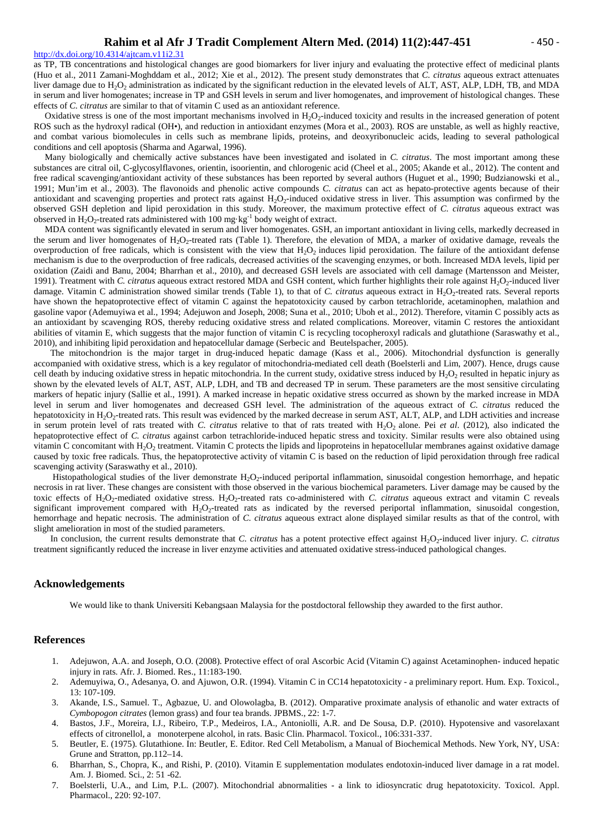#### $http://dx.doi.org/10.4314/ajtcam.v11i2.31$

as TP, TB concentrations and histological changes are good biomarkers for liver injury and evaluating the protective effect of medicinal plants (Huo et al., 2011 Zamani-Moghddam et al., 2012; Xie et al., 2012). The present study demonstrates that *C. citratus* aqueous extract attenuates liver damage due to H<sub>2</sub>O<sub>2</sub> administration as indicated by the significant reduction in the elevated levels of ALT, AST, ALP, LDH, TB, and MDA in serum and liver homogenates; increase in TP and GSH levels in serum and liver homogenates, and improvement of histological changes. These effects of *C. citratus* are similar to that of vitamin C used as an antioxidant reference.

Oxidative stress is one of the most important mechanisms involved in  $H_2O_2$ -induced toxicity and results in the increased generation of potent ROS such as the hydroxyl radical (OH•), and reduction in antioxidant enzymes (Mora et al., 2003). ROS are unstable, as well as highly reactive, and combat various biomolecules in cells such as membrane lipids, proteins, and deoxyribonucleic acids, leading to several pathological conditions and cell apoptosis (Sharma and Agarwal, 1996).

Many biologically and chemically active substances have been investigated and isolated in *C. citratus*. The most important among these substances are citral oil, C-glycosylflavones, orientin, isoorientin, and chlorogenic acid (Cheel et al., 2005; Akande et al., 2012). The content and free radical scavenging/antioxidant activity of these substances has been reported by several authors (Huguet et al., 1990; Budzianowski et al., 1991; Mun'im et al., 2003). The flavonoids and phenolic active compounds *C. citratus* can act as hepato-protective agents because of their antioxidant and scavenging properties and protect rats against  $H_2O_2$ -induced oxidative stress in liver. This assumption was confirmed by the observed GSH depletion and lipid peroxidation in this study. Moreover, the maximum protective effect of *C. citratus* aqueous extract was observed in  $H_2O_2$ -treated rats administered with 100 mg·kg<sup>-1</sup> body weight of extract.

MDA content was significantly elevated in serum and liver homogenates. GSH, an important antioxidant in living cells, markedly decreased in the serum and liver homogenates of  $H_2O_2$ -treated rats (Table 1). Therefore, the elevation of MDA, a marker of oxidative damage, reveals the overproduction of free radicals, which is consistent with the view that  $H_2O_2$  induces lipid peroxidation. The failure of the antioxidant defense mechanism is due to the overproduction of free radicals, decreased activities of the scavenging enzymes, or both. Increased MDA levels, lipid per oxidation (Zaidi and Banu, 2004; Bharrhan et al., 2010), and decreased GSH levels are associated with cell damage (Martensson and Meister, 1991). Treatment with *C. citratus* aqueous extract restored MDA and GSH content, which further highlights their role against H<sub>2</sub>O<sub>2</sub>-induced liver damage. Vitamin C administration showed similar trends (Table 1), to that of *C. citratus* aqueous extract in H<sub>2</sub>O<sub>2</sub>-treated rats. Several reports have shown the hepatoprotective effect of vitamin C against the hepatotoxicity caused by carbon tetrachloride, acetaminophen, malathion and gasoline vapor (Ademuyiwa et al., 1994; Adejuwon and Joseph, 2008; Suna et al., 2010; Uboh et al., 2012). Therefore, vitamin C possibly acts as an antioxidant by scavenging ROS, thereby reducing oxidative stress and related complications. Moreover, vitamin C restores the antioxidant abilities of vitamin E, which suggests that the major function of vitamin C is recycling tocopheroxyl radicals and glutathione (Saraswathy et al., 2010), and inhibiting lipid peroxidation and hepatocellular damage (Serbecic and Beutelspacher, 2005).

The mitochondrion is the major target in drug-induced hepatic damage (Kass et al., 2006). Mitochondrial dysfunction is generally accompanied with oxidative stress, which is a key regulator of mitochondria-mediated cell death (Boelsterli and Lim, 2007). Hence, drugs cause cell death by inducing oxidative stress in hepatic mitochondria. In the current study, oxidative stress induced by  $H_2O_2$  resulted in hepatic injury as shown by the elevated levels of ALT, AST, ALP, LDH, and TB and decreased TP in serum. These parameters are the most sensitive circulating markers of hepatic injury (Sallie et al., 1991). A marked increase in hepatic oxidative stress occurred as shown by the marked increase in MDA level in serum and liver homogenates and decreased GSH level. The administration of the aqueous extract of *C. citratus* reduced the hepatotoxicity in  $\text{H}_2\text{O}_2$ -treated rats. This result was evidenced by the marked decrease in serum AST, ALT, ALP, and LDH activities and increase in serum protein level of rats treated with *C. citratus* relative to that of rats treated with H<sub>2</sub>O<sub>2</sub> alone. Pei *et al.* (2012), also indicated the hepatoprotective effect of *C. citratus* against carbon tetrachloride-induced hepatic stress and toxicity. Similar results were also obtained using vitamin C concomitant with  $H_2O_2$  treatment. Vitamin C protects the lipids and lipoproteins in hepatocellular membranes against oxidative damage caused by toxic free radicals. Thus, the hepatoprotective activity of vitamin C is based on the reduction of lipid peroxidation through free radical scavenging activity (Saraswathy et al., 2010).

Histopathological studies of the liver demonstrate  $H_2O_2$ -induced periportal inflammation, sinusoidal congestion hemorrhage, and hepatic necrosis in rat liver. These changes are consistent with those observed in the various biochemical parameters. Liver damage may be caused by the toxic effects of H<sub>2</sub>O<sub>2</sub>-mediated oxidative stress. H<sub>2</sub>O<sub>2</sub>-treated rats co-administered with *C. citratus* aqueous extract and vitamin C reveals significant improvement compared with H<sub>2</sub>O<sub>2</sub>-treated rats as indicated by the reversed periportal inflammation, sinusoidal congestion, hemorrhage and hepatic necrosis. The administration of *C. citratus* aqueous extract alone displayed similar results as that of the control, with slight amelioration in most of the studied parameters.

In conclusion, the current results demonstrate that *C. citratus* has a potent protective effect against H<sub>2</sub>O<sub>2</sub>-induced liver injury. *C. citratus* treatment significantly reduced the increase in liver enzyme activities and attenuated oxidative stress-induced pathological changes.

### **Acknowledgements**

We would like to thank Universiti Kebangsaan Malaysia for the postdoctoral fellowship they awarded to the first author.

### **References**

- 1. Adejuwon, A.A. and Joseph, O.O. (2008). Protective effect of oral Ascorbic Acid (Vitamin C) against Acetaminophen- induced hepatic injury in rats. Afr. J. Biomed. Res., 11:183-190.
- 2. Ademuyiwa, O., Adesanya, O. and Ajuwon, O.R. (1994). Vitamin C in CC14 hepatotoxicity a preliminary report. Hum. Exp. Toxicol., 13: 107-109.
- 3. Akande, I.S., Samuel. T., Agbazue, U. and Olowolagba, B. (2012). Omparative proximate analysis of ethanolic and water extracts of *Cymbopogon citrates* (lemon grass) and four tea brands. JPBMS., 22: 1-7.
- 4. Bastos, J.F., Moreira, I.J., Ribeiro, T.P., Medeiros, I.A., Antoniolli, A.R. and De Sousa, D.P. (2010). Hypotensive and vasorelaxant effects of citronellol, a monoterpene alcohol, in rats. Basic Clin. Pharmacol. Toxicol., 106:331-337.
- 5. Beutler, E. (1975). Glutathione. In: Beutler, E. Editor. Red Cell Metabolism, a Manual of Biochemical Methods. New York, NY, USA: Grune and Stratton, pp.112–14.
- 6. Bharrhan, S., Chopra, K., and Rishi, P. (2010). Vitamin E supplementation modulates endotoxin-induced liver damage in a rat model. Am. J. Biomed. Sci., 2: 51 -62.
- 7. Boelsterli, U.A., and Lim, P.L. (2007). Mitochondrial abnormalities a link to idiosyncratic drug hepatotoxicity. Toxicol. Appl. Pharmacol., 220: 92-107.